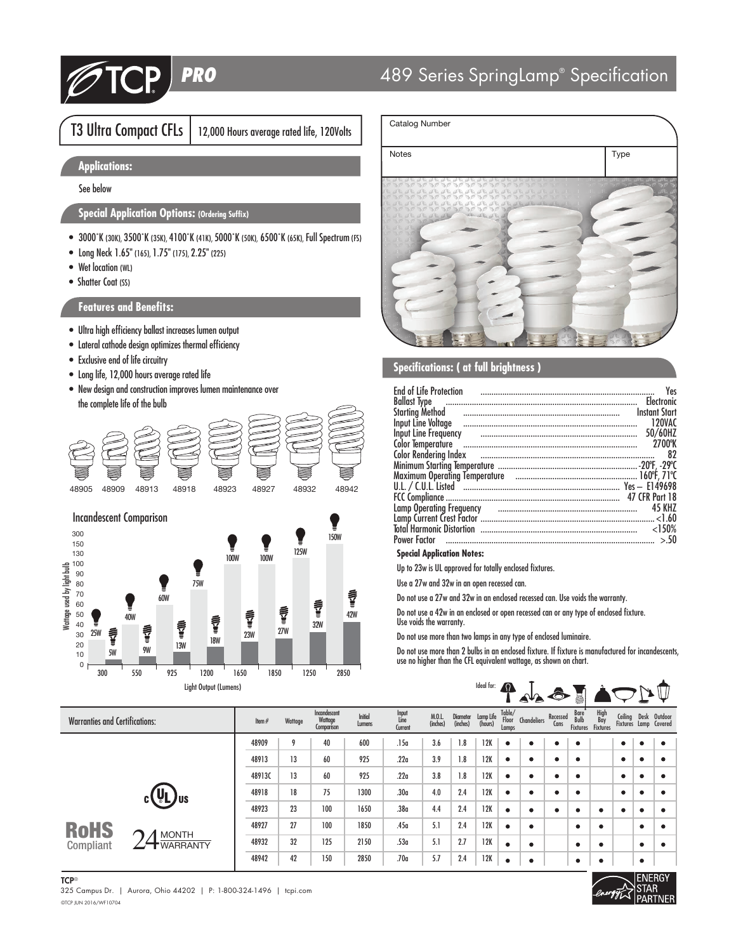

# 489 Series SpringLamp® Specification

# T3 Ultra Compact CFLs | 12,000 Hours average rated life, 120Volts

# **Applications:**

See below

## **Special Application Options: (Ordering Suffix)**

- 3000˚K (30K), 3500˚K (35K), 4100˚K (41K), 5000˚K (50K), 6500˚K (65K), Full Spectrum (FS)
- Long Neck 1.65" (165), 1.75" (175), 2.25" (225)
- Wet location (WL)
- Shatter Coat (SS)

### **Features and Benefits:**

- Ultra high efficiency ballast increases lumen output
- Lateral cathode design optimizes thermal efficiency
- Exclusive end of life circuitry
- Long life, 12,000 hours average rated life
- New design and construction improves lumen maintenance over the complete life of the bulb



### Incandescent Comparison



# Notes **Notes** Type

### **Specifications: ( at full brightness )**

Catalog Number

| <b>End of Life Protection</b><br><b>Ballast Type</b><br>Input Line Frequency<br>Color Rendering Index <b>continuum continuum continuum continuum continuum continuum continuum continuum continuum</b> | Yes<br><b>Flectronic</b><br><b>Instant Start</b><br>120VAC<br>50/60HZ<br>2700°K<br>82<br><b>47 CFR Part 18</b><br><b>45 KHZ</b> |
|--------------------------------------------------------------------------------------------------------------------------------------------------------------------------------------------------------|---------------------------------------------------------------------------------------------------------------------------------|
|                                                                                                                                                                                                        |                                                                                                                                 |
| <b>Power Factor</b>                                                                                                                                                                                    | < 150%<br>> 50                                                                                                                  |

### **Special Application Notes:**

Up to 23w is UL approved for totally enclosed fixtures.

Use a 27w and 32w in an open recessed can.

Do not use a 27w and 32w in an enclosed recessed can. Use voids the warranty.

Do not use a 42w in an enclosed or open recessed can or any type of enclosed fixture. Use voids the warranty.

Do not use more than two lamps in any type of enclosed luminaire.

Do not use more than 2 bulbs in an enclosed fixture. If fixture is manufactured for incandescents, use no higher than the CFL equivalent wattage, as shown on chart.

| Light Output (Lumens)                          |          |         |                                       | Ideal for: $\bigcap$ |                          | ▲↓▲                | $\bullet$            |                      |                          |             |                  |                                 |                                |           |           |                                               |
|------------------------------------------------|----------|---------|---------------------------------------|----------------------|--------------------------|--------------------|----------------------|----------------------|--------------------------|-------------|------------------|---------------------------------|--------------------------------|-----------|-----------|-----------------------------------------------|
| <b>Warranties and Certifications:</b>          | Item $#$ | Wattage | Incandescent<br>Wattage<br>Comparison | Initial<br>Lumens    | Input<br>Line<br>Current | M.O.L.<br>(inches) | Diameter<br>(inches) | Lamp Life<br>(hours) | Table/<br>Floor<br>Lamps | Chandeliers | Recessed<br>Cans | Bare<br>Bulb<br><b>Fixtures</b> | High<br>Bay<br><b>Fixtures</b> |           |           | Ceiling Desk Outdoor<br>Fixtures Lamp Covered |
|                                                | 48909    | 9       | 40                                    | 600                  | .15a                     | 3.6                | 1.8                  | 12K                  | ٠                        | ۰           | ٠                | ٠                               |                                | ٠         | ٠         | ٠                                             |
|                                                | 48913    | 13      | 60                                    | 925                  | .22a                     | 3.9                | 1.8                  | 12K                  | $\bullet$                | ٠           | ٠                | $\bullet$                       |                                | ۰         | $\bullet$ | ٠                                             |
|                                                | 48913C   | 13      | 60                                    | 925                  | .22a                     | 3.8                | 1.8                  | 12K                  | $\bullet$                |             | ٠                | $\bullet$                       |                                | ٠         | $\bullet$ | ٠                                             |
| $(\mathtt{U}_\mathsf{L})_\mathsf{us}$          | 48918    | 18      | 75                                    | 1300                 | .30 <sub>a</sub>         | 4.0                | 2.4                  | 12K                  | $\bullet$                | ٠           | ٠                | $\bullet$                       |                                | $\bullet$ | $\bullet$ | ٠                                             |
|                                                | 48923    | 23      | 100                                   | 1650                 | .38 <sub>a</sub>         | 4.4                | 2.4                  | 12K                  | $\bullet$                | ٠           | $\bullet$        | ٠                               | ٠                              | ٠         | $\bullet$ | $\bullet$                                     |
| <b>RoHS</b>                                    | 48927    | 27      | 100                                   | 1850                 | .45a                     | 5.1                | 2.4                  | 12K                  | $\bullet$                | ٠           |                  | $\bullet$                       | $\bullet$                      |           | $\bullet$ | ٠                                             |
| <b>MONTH</b><br>Compliant<br><b>T</b> WARRANTY | 48932    | 32      | 125                                   | 2150                 | .53a                     | 5.1                | 2.7                  | 12K                  | $\bullet$                | ٠           |                  | $\bullet$                       | $\bullet$                      |           | $\bullet$ | ٠                                             |
|                                                | 48942    | 42      | 150                                   | 2850                 | .70a                     | 5.7                | 2.4                  | 12K                  | $\bullet$                |             |                  | ٠                               | $\bullet$                      |           | $\bullet$ |                                               |



©TCP JUN 2016/WF10704 325 Campus Dr. | Aurora, Ohio 44202 | P: 1-800-324-1496 | tcpi.com